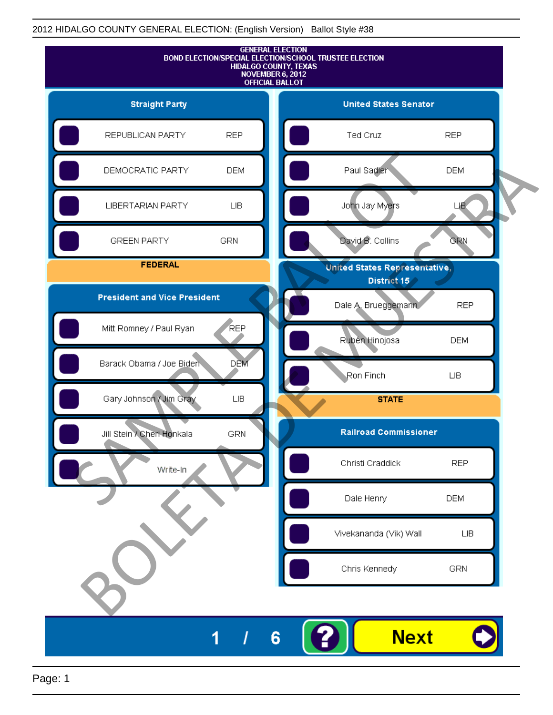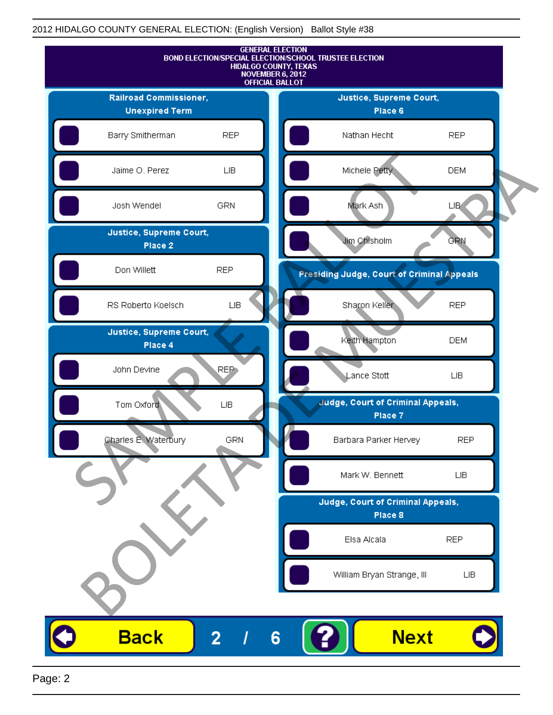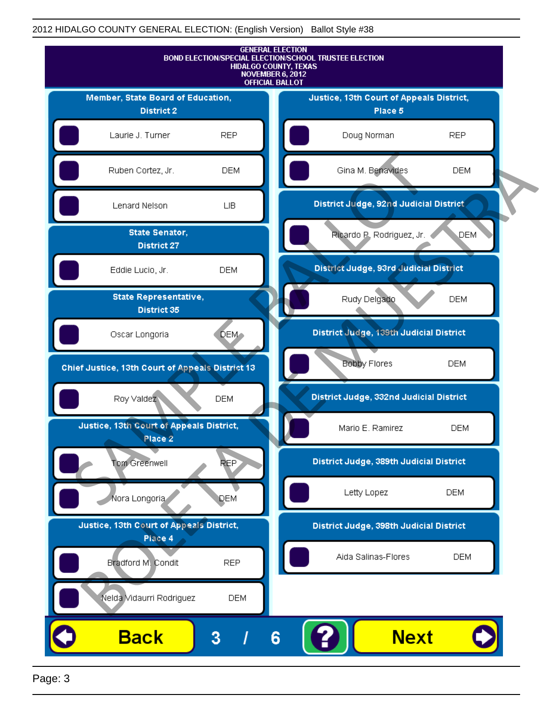

Page: 3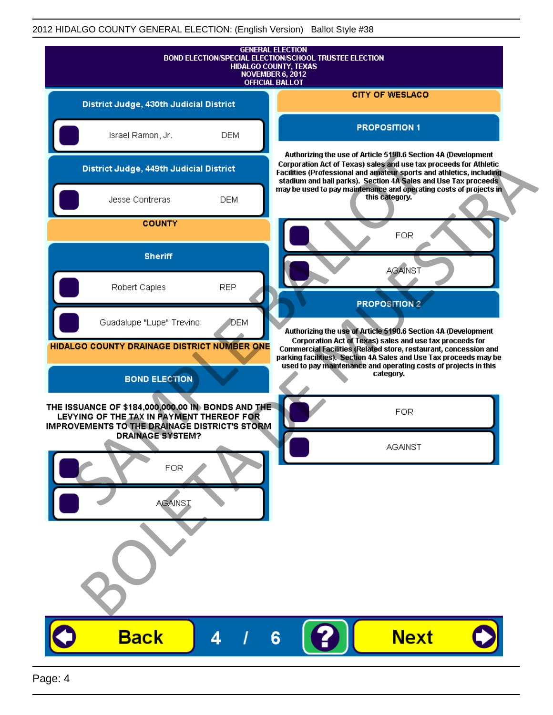|                                                                                                                                                        |                          |            | <b>GENERAL ELECTION</b><br>BOND ELECTION/SPECIAL ELECTION/SCHOOL TRUSTEE ELECTION<br><b>HIDALGO COUNTY, TEXAS</b><br>NOVEMBER 6, 2012<br><b>OFFICIAL BALLOT</b>                                                                                                              |
|--------------------------------------------------------------------------------------------------------------------------------------------------------|--------------------------|------------|------------------------------------------------------------------------------------------------------------------------------------------------------------------------------------------------------------------------------------------------------------------------------|
| District Judge, 430th Judicial District                                                                                                                |                          |            | <b>CITY OF WESLACO</b>                                                                                                                                                                                                                                                       |
| Israel Ramon, Jr.                                                                                                                                      |                          | <b>DEM</b> | <b>PROPOSITION 1</b>                                                                                                                                                                                                                                                         |
| District Judge, 449th Judicial District                                                                                                                |                          |            | Authorizing the use of Article 5190.6 Section 4A (Development<br>Corporation Act of Texas) sales and use tax proceeds for Athletic<br>Facilities (Professional and amateur sports and athletics, including<br>stadium and ball parks). Section 4A Sales and Use Tax proceeds |
| Jesse Contreras                                                                                                                                        |                          | <b>DEM</b> | may be used to pay maintenance and operating costs of projects in<br>this category.                                                                                                                                                                                          |
|                                                                                                                                                        | <b>COUNTY</b>            |            | <b>FOR</b>                                                                                                                                                                                                                                                                   |
|                                                                                                                                                        | <b>Sheriff</b>           |            | <b>AGAINST</b>                                                                                                                                                                                                                                                               |
| Robert Caples                                                                                                                                          |                          | <b>REP</b> | <b>PROPOSITION 2</b>                                                                                                                                                                                                                                                         |
|                                                                                                                                                        | Guadalupe "Lupe" Trevino | DEM        | Authorizing the use of Article 5190.6 Section 4A (Development                                                                                                                                                                                                                |
| HIDALGO COUNTY DRAINAGE DISTRICT NUMBER ONE                                                                                                            | <b>BOND ELECTION</b>     |            | Commercial Facilities (Related store, restaurant, concession and<br>parking facilities). Section 4A Sales and Use Tax proceeds may be<br>used to pay maintenance and operating costs of projects in this<br>category.                                                        |
| THE ISSUANCE OF \$184,000,000.00 IN BONDS AND THE<br>LEVYING OF THE TAX IN PAYMENT THEREOF FOR<br><b>IMPROVEMENTS TO THE DRAINAGE DISTRICT'S STORM</b> | <b>DRAINAGE SYSTEM?</b>  |            | <b>FOR</b>                                                                                                                                                                                                                                                                   |
|                                                                                                                                                        | FOR<br><b>AGAINST</b>    |            | <b>AGAINST</b>                                                                                                                                                                                                                                                               |
|                                                                                                                                                        |                          |            |                                                                                                                                                                                                                                                                              |
| <b>Back</b>                                                                                                                                            |                          | 4          | <b>Next</b><br>6                                                                                                                                                                                                                                                             |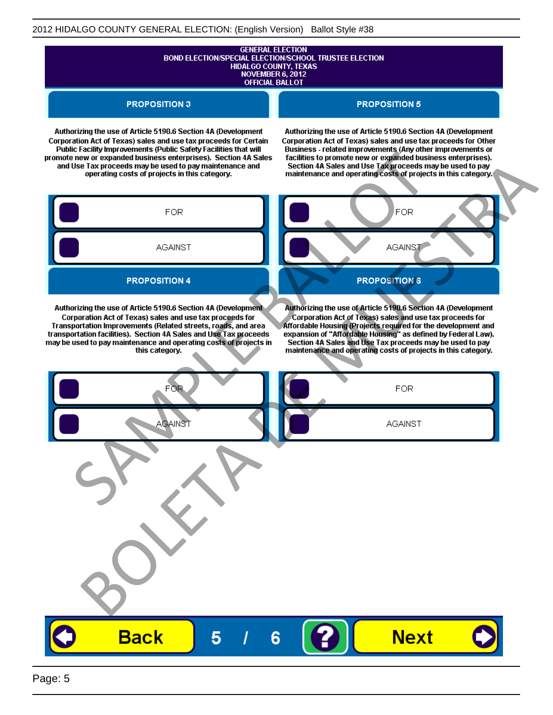# **GENERAL ELECTION** BOND ELECTION/SPECIAL ELECTION/SCHOOL TRUSTEE ELECTION<br>HIDALGO COUNTY, TEXAS<br>NOVEMBER 6, 2012 **OFFICIAL BALLOT**

#### **PROPOSITION 3**

#### **PROPOSITION 5**

Authorizing the use of Article 5190.6 Section 4A (Development Corporation Act of Texas) sales and use tax proceeds for Certain

Authorizing the use of Article 5190.6 Section 4A (Development Corporation Act of Texas) sales and use tax proceeds for Other

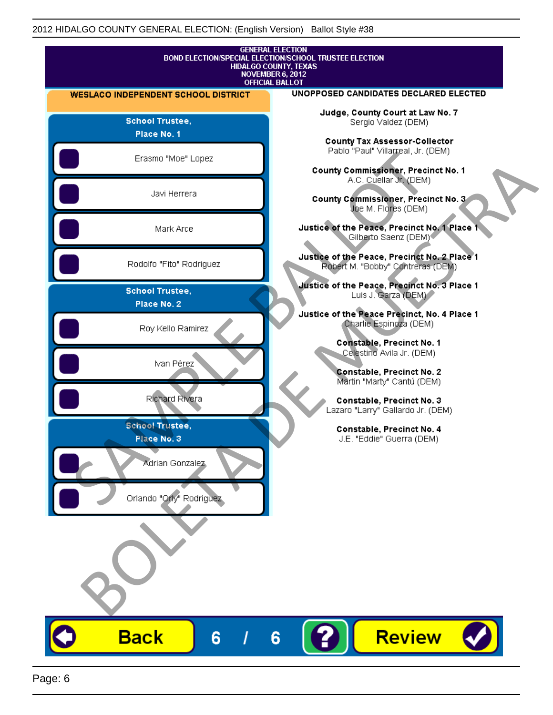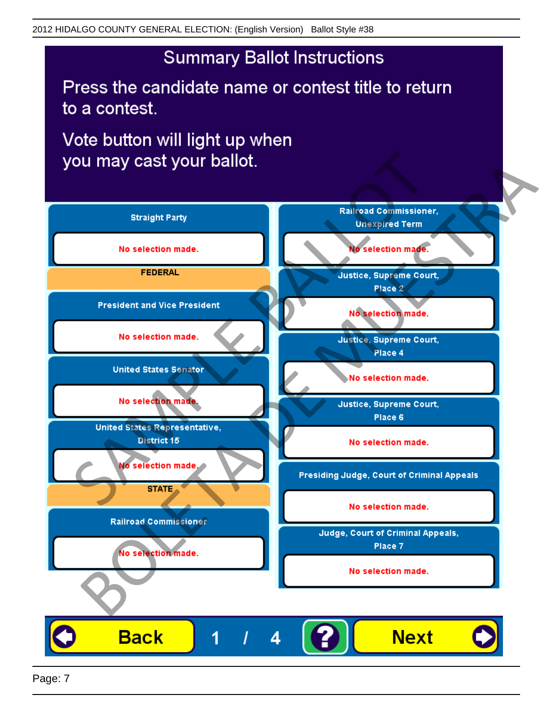Press the candidate name or contest title to return to a contest.

Vote button will light up when



Page: 7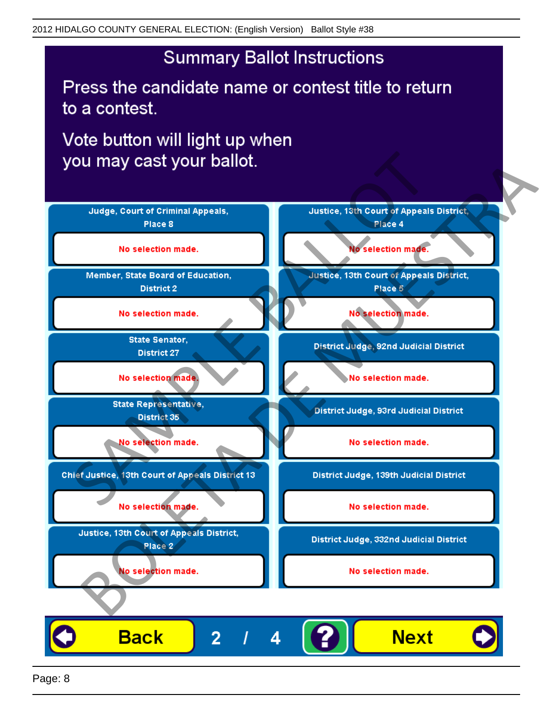Press the candidate name or contest title to return to a contest.

Vote button will light up when

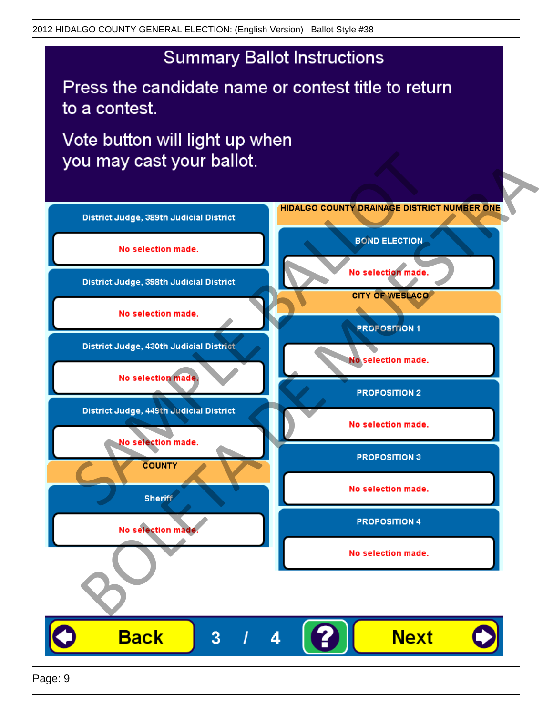Press the candidate name or contest title to return to a contest.